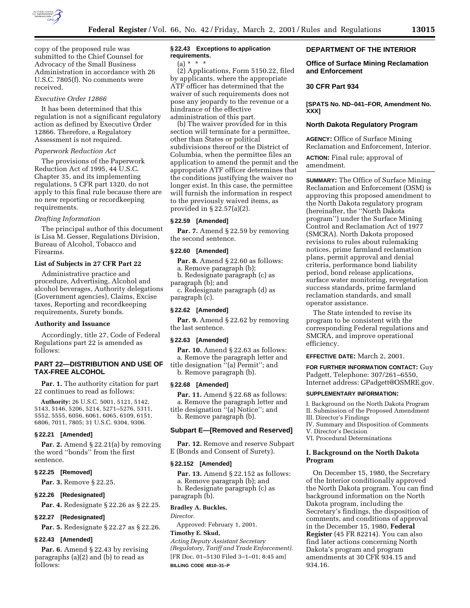

copy of the proposed rule was submitted to the Chief Counsel for Advocacy of the Small Business Administration in accordance with 26 U.S.C. 7805(f). No comments were received.

### *Executive Order 12866*

It has been determined that this regulation is not a significant regulatory action as defined by Executive Order 12866. Therefore, a Regulatory Assessment is not required.

### *Paperwork Reduction Act*

The provisions of the Paperwork Reduction Act of 1995, 44 U.S.C. Chapter 35, and its implementing regulations, 5 CFR part 1320, do not apply to this final rule because there are no new reporting or recordkeeping requirements.

### *Drafting Information*

The principal author of this document is Lisa M. Gesser, Regulations Division, Bureau of Alcohol, Tobacco and Firearms.

#### **List of Subjects in 27 CFR Part 22**

Administrative practice and procedure, Advertising, Alcohol and alcohol beverages, Authority delegations (Government agencies), Claims, Excise taxes, Reporting and recordkeeping requirements, Surety bonds.

### **Authority and Issuance**

Accordingly, title 27, Code of Federal Regulations part 22 is amended as follows:

# **PART 22—DISTRIBUTION AND USE OF TAX-FREE ALCOHOL**

**Par. 1.** The authority citation for part 22 continues to read as follows:

**Authority:** 26 U.S.C. 5001, 5121, 5142, 5143, 5146, 5206, 5214, 5271–5276, 5311, 5552, 5555, 6056, 6061, 6065, 6109, 6151, 6806, 7011, 7805; 31 U.S.C. 9304, 9306.

### **§ 22.21 [Amended]**

**Par. 2.** Amend § 22.21(a) by removing the word ''bonds'' from the first sentence.

### **§ 22.25 [Removed]**

**Par. 3.** Remove § 22.25.

### **§ 22.26 [Redesignated]**

**Par. 4.** Redesignate § 22.26 as § 22.25.

### **§ 22.27 [Redesignated]**

**Par. 5.** Redesignate § 22.27 as § 22.26.

### **§ 22.43 [Amended]**

**Par. 6.** Amend § 22.43 by revising paragraphs (a)(2) and (b) to read as follows:

### **§ 22.43 Exceptions to application requirements.**

 $(a) * * * *$ 

(2) Applications, Form 5150.22, filed by applicants, where the appropriate ATF officer has determined that the waiver of such requirements does not pose any jeopardy to the revenue or a hindrance of the effective administration of this part.

(b) The waiver provided for in this section will terminate for a permittee, other than States or political subdivisions thereof or the District of Columbia, when the permittee files an application to amend the permit and the appropriate ATF officer determines that the conditions justifying the waiver no longer exist. In this case, the permittee will furnish the information in respect to the previously waived items, as provided in § 22.57(a)(2).

#### **§ 22.59 [Amended]**

**Par. 7.** Amend § 22.59 by removing the second sentence.

### **§ 22.60 [Amended]**

**Par. 8.** Amend § 22.60 as follows: a. Remove paragraph (b); b. Redesignate paragraph (c) as

paragraph (b); and

c. Redesignate paragraph (d) as paragraph (c).

### **§ 22.62 [Amended]**

Par. 9. Amend § 22.62 by removing the last sentence.

# **§ 22.63 [Amended]**

**Par. 10.** Amend § 22.63 as follows: a. Remove the paragraph letter and title designation ''(a) Permit''; and b. Remove paragraph (b).

### **§ 22.68 [Amended]**

**Par. 11.** Amend § 22.68 as follows: a. Remove the paragraph letter and title designation ''(a) Notice''; and b. Remove paragraph (b).

# **Subpart E—[Removed and Reserved]**

Par. 12. Remove and reserve Subpart E (Bonds and Consent of Surety).

### **§ 22.152 [Amended]**

**Par. 13.** Amend § 22.152 as follows: a. Remove paragraph (b); and b. Redesignate paragraph (c) as paragraph (b).

#### **Bradley A. Buckles,**

*Director.*

Approved: February 1, 2001. **Timothy E. Skud,**

*Acting Deputy Assistant Secretary (Regulatory, Tariff and Trade Enforcement).* [FR Doc. 01–5130 Filed 3–1–01; 8:45 am] **BILLING CODE 4810–31–P**

## **DEPARTMENT OF THE INTERIOR**

## **Office of Surface Mining Reclamation and Enforcement**

## **30 CFR Part 934**

**[SPATS No. ND–041–FOR, Amendment No. XXX]**

## **North Dakota Regulatory Program**

**AGENCY:** Office of Surface Mining Reclamation and Enforcement, Interior.

**ACTION:** Final rule; approval of amendment.

**SUMMARY:** The Office of Surface Mining Reclamation and Enforcement (OSM) is approving this proposed amendment to the North Dakota regulatory program (hereinafter, the ''North Dakota program'') under the Surface Mining Control and Reclamation Act of 1977 (SMCRA). North Dakota proposed revisions to rules about rulemaking notices, prime farmland reclamation plans, permit approval and denial criteria, performance bond liability period, bond release applications, surface water monitoring, revegetation success standards, prime farmland reclamation standards, and small operator assistance.

The State intended to revise its program to be consistent with the corresponding Federal regulations and SMCRA, and improve operational efficiency.

#### **EFFECTIVE DATE:** March 2, 2001.

**FOR FURTHER INFORMATION CONTACT:** Guy Padgett, Telephone: 307/261–6550, Internet address: GPadgett@OSMRE.gov.

#### **SUPPLEMENTARY INFORMATION:**

I. Background on the North Dakota Program II. Submission of the Proposed Amendment III. Director's Findings

- 
- IV. Summary and Disposition of Comments V. Director's Decision
- VI. Procedural Determinations

# **I. Background on the North Dakota Program**

On December 15, 1980, the Secretary of the Interior conditionally approved the North Dakota program. You can find background information on the North Dakota program, including the Secretary's findings, the disposition of comments, and conditions of approval in the December 15, 1980, **Federal Register** (45 FR 82214). You can also find later actions concerning North Dakota's program and program amendments at 30 CFR 934.15 and 934.16.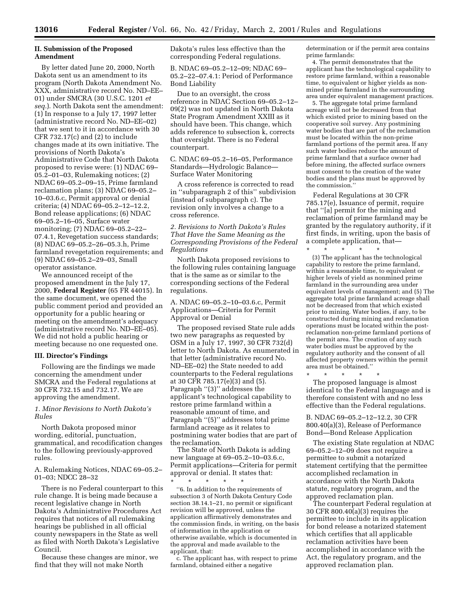# **II. Submission of the Proposed Amendment**

By letter dated June 20, 2000, North Dakota sent us an amendment to its program (North Dakota Amendment No. XXX, administrative record No. ND–EE– 01) under SMCRA (30 U.S.C. 1201 *et seq.*). North Dakota sent the amendment: (1) In response to a July 17, 1997 letter (administrative record No. ND–EE–02) that we sent to it in accordance with 30 CFR 732.17(c) and (2) to include changes made at its own initiative. The provisions of North Dakota's Administrative Code that North Dakota proposed to revise were: (1) NDAC 69– 05.2–01–03, Rulemaking notices; (2) NDAC 69–05.2–09–15, Prime farmland reclamation plans; (3) NDAC 69–05.2– 10–03.6.c, Permit approval or denial criteria; (4) NDAC 69–05.2–12–12.2, Bond release applications; (6) NDAC 69–05.2–16–05, Surface water monitoring; (7) NDAC 69–05.2–22– 07.4.1, Revegetation success standards; (8) NDAC 69–05.2–26–05.3.h, Prime farmland revegetation requirements; and (9) NDAC 69–05.2–29–03, Small operator assistance.

We announced receipt of the proposed amendment in the July 17, 2000, **Federal Register** (65 FR 44015). In the same document, we opened the public comment period and provided an opportunity for a public hearing or meeting on the amendment's adequacy (administrative record No. ND–EE–05). We did not hold a public hearing or meeting because no one requested one.

### **III. Director's Findings**

Following are the findings we made concerning the amendment under SMCRA and the Federal regulations at 30 CFR 732.15 and 732.17. We are approving the amendment.

# *1. Minor Revisions to North Dakota's Rules*

North Dakota proposed minor wording, editorial, punctuation, grammatical, and recodification changes to the following previously-approved rules.

A. Rulemaking Notices, NDAC 69–05.2– 01–03; NDCC 28–32

There is no Federal counterpart to this rule change. It is being made because a recent legislative change in North Dakota's Administrative Procedures Act requires that notices of all rulemaking hearings be published in all official county newspapers in the State as well as filed with North Dakota's Legislative Council.

Because these changes are minor, we find that they will not make North

Dakota's rules less effective than the corresponding Federal regulations.

B. NDAC 69–05.2–12–09; NDAC 69– 05.2–22–07.4.1: Period of Performance Bond Liability

Due to an oversight, the cross reference in NDAC Section 69–05.2–12– 09(2) was not updated in North Dakota State Program Amendment XXIII as it should have been. This change, which adds reference to subsection k, corrects that oversight. There is no Federal counterpart.

C. NDAC 69–05.2–16–05, Performance Standards—Hydrologic Balance— Surface Water Monitoring

A cross reference is corrected to read in ''subparagraph 2 of this'' subdivision (instead of subparagraph c). The revision only involves a change to a cross reference.

*2. Revisions to North Dakota's Rules That Have the Same Meaning as the Corresponding Provisions of the Federal Regulations*

North Dakota proposed revisions to the following rules containing language that is the same as or similar to the corresponding sections of the Federal regulations.

A. NDAC 69–05.2–10–03.6.c, Permit Applications—Criteria for Permit Approval or Denial

The proposed revised State rule adds two new paragraphs as requested by OSM in a July 17, 1997, 30 CFR 732(d) letter to North Dakota. As enumerated in that letter (administrative record No. ND–EE–02) the State needed to add counterparts to the Federal regulations at 30 CFR 785.17(e)(3) and (5). Paragraph "(3)" addresses the applicant's technological capability to restore prime farmland within a reasonable amount of time, and Paragraph ''(5)'' addresses total prime farmland acreage as it relates to postmining water bodies that are part of the reclamation.

The State of North Dakota is adding new language at 69–05.2–10–03.6.c, Permit applications—Criteria for permit approval or denial. It states that:

\* \* \* \* \* ''6. In addition to the requirements of subsection 3 of North Dakota Century Code section 38.14.1–21, no permit or significant revision will be approved, unless the application affirmatively demonstrates and the commission finds, in writing, on the basis of information in the application or otherwise available, which is documented in the approval and made available to the applicant, that:

c. The applicant has, with respect to prime farmland, obtained either a negative

determination or if the permit area contains prime farmlands:

4. The permit demonstrates that the applicant has the technological capability to restore prime farmland, within a reasonable time, to equivalent or higher yields as nonmined prime farmland in the surrounding area under equivalent management practices.

5. The aggregate total prime farmland acreage will not be decreased from that which existed prior to mining based on the cooperative soil survey. Any postmining water bodies that are part of the reclamation must be located within the non-prime farmland portions of the permit area. If any such water bodies reduce the amount of prime farmland that a surface owner had before mining, the affected surface owners must consent to the creation of the water bodies and the plans must be approved by the commission.''

Federal Regulations at 30 CFR 785.17(e), Issuance of permit, require that ''[a] permit for the mining and reclamation of prime farmland may be granted by the regulatory authority, if it first finds, in writing, upon the basis of a complete application, that—

\* \* \* \* \* (3) The applicant has the technological capability to restore the prime farmland, within a reasonable time, to equivalent or higher levels of yield as nonmined prime farmland in the surrounding area under equivalent levels of management; and (5) The aggregate total prime farmland acreage shall not be decreased from that which existed prior to mining. Water bodies, if any, to be constructed during mining and reclamation operations must be located within the postreclamation non-prime farmland portions of the permit area. The creation of any such water bodies must be approved by the regulatory authority and the consent of all affected property owners within the permit area must be obtained.''

\* \* \* \* \* The proposed language is almost identical to the Federal language and is therefore consistent with and no less effective than the Federal regulations.

B. NDAC 69–05.2–12–12.2, 30 CFR 800.40(a)(3), Release of Performance Bond—Bond Release Application

The existing State regulation at NDAC 69–05.2–12–09 does not require a permittee to submit a notarized statement certifying that the permittee accomplished reclamation in accordance with the North Dakota statute, regulatory program, and the approved reclamation plan.

The counterpart Federal regulation at 30 CFR 800.40(a)(3) requires the permittee to include in its application for bond release a notarized statement which certifies that all applicable reclamation activities have been accomplished in accordance with the Act, the regulatory program, and the approved reclamation plan.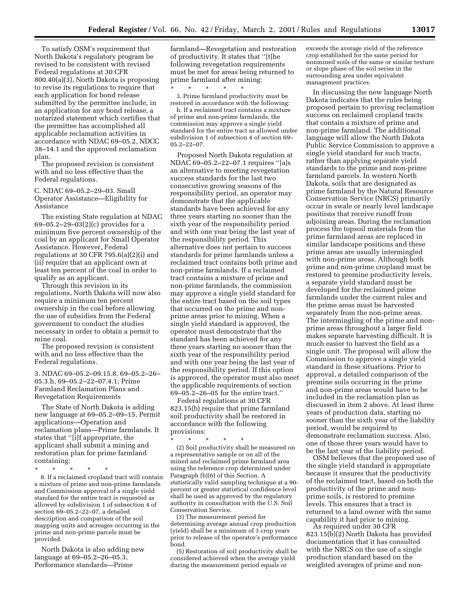To satisfy OSM's requirement that North Dakota's regulatory program be revised to be consistent with revised Federal regulations at 30 CFR 800.40(a)(3), North Dakota is proposing to revise its regulations to require that each application for bond release submitted by the permittee include, in an application for any bond release, a notarized statement which certifies that the permittee has accomplished all applicable reclamation activities in accordance with NDAC 69–05.2, NDCC 38–14.1 and the approved reclamation plan.

The proposed revision is consistent with and no less effective than the Federal regulations.

C. NDAC 69–05.2–29–03. Small Operator Assistance—Eligibility for Assistance

The existing State regulation at NDAC 69–05.2–29–03(2)(c) provides for a minimum five percent ownership of the coal by an applicant for Small Operator Assistance. However, Federal regulations at 30 CFR 795.6(a)(2)(i) and (ii) require that an applicant own at least ten percent of the coal in order to qualify as an applicant.

Through this revision in its regulations, North Dakota will now also require a minimum ten percent ownership in the coal before allowing the use of subsidies from the Federal government to conduct the studies necessary in order to obtain a permit to mine coal.

The proposed revision is consistent with and no less effective than the Federal regulations.

3. NDAC 69–05.2–09.15.8, 69–05.2–26– 05.3.h, 69–05.2–22–07.4.1; Prime Farmland Reclamation Plans and Revegetation Requirements

The State of North Dakota is adding new language at 69–05.2–09–15, Permit applications—Operation and reclamation plans—Prime farmlands. It states that ''[i]f appropriate, the applicant shall submit a mining and restoration plan for prime farmland containing:

\* \* \* \* \* 8. If a reclaimed cropland tract will contain a mixture of prime and non-prime farmlands and Commission approval of a single yield standard for the entire tract is requested as allowed by subdivision 1 of subsection 4 of section 69–05.2–22–07, a detailed description and comparison of the soil mapping units and acreages occurring in the prime and non-prime parcels must be provided.

North Dakota is also adding new language at 69–05.2–26–05.3, Performance standards—Prime

farmland—Revegetation and restoration of productivity. It states that ''[t]he following revegetation requirements must be met for areas being returned to prime farmland after mining:

\* \* \* \* \* 3. Prime farmland productivity must be restored in accordance with the following:

h. If a reclaimed tract contains a mixture of prime and non-prime farmlands, the commission may approve a single yield standard for the entire tract as allowed under subdivision 1 of subsection 4 of section 69– 05.2–22–07.

Proposed North Dakota regulation at NDAC 69–05.2–22–07.1 requires ''[a]s an alternative to meeting revegetation success standards for the last two consecutive growing seasons of the responsibility period, an operator may demonstrate that the applicable standards have been achieved for any three years starting no sooner than the sixth year of the responsibility period and with one year being the last year of the responsibility period. This alternative does not pertain to success standards for prime farmlands unless a reclaimed tract contains both prime and non-prime farmlands. If a reclaimed tract contains a mixture of prime and non-prime farmlands, the commission may approve a single yield standard for the entire tract based on the soil types that occurred on the prime and nonprime areas prior to mining. When a single yield standard is approved, the operator must demonstrate that the standard has been achieved for any three years starting no sooner than the sixth year of the responsibility period and with one year being the last year of the responsibility period. If this option is approved, the operator must also meet the applicable requirements of section 69–05.2–26–05 for the entire tract.''

Federal regulations at 30 CFR 823.15(b) require that prime farmland soil productivity shall be restored in accordance with the following provisions:

\* \* \* \* \* (2) Soil productivity shall be measured on a representative sample or on all of the mined and reclaimed prime farmland area using the reference crop determined under Paragraph (b)(6) of this Section. A statistically valid sampling technique at a 90 percent or greater statistical confidence level shall be used as approved by the regulatory authority in consultation with the U.S. Soil Conservation Service.

(3) The measurement period for determining average annual crop production (yield) shall be a minimum of 3 crop years prior to release of the operator's performance bond.

(5) Restoration of soil productivity shall be considered achieved when the average yield during the measurement period equals or

exceeds the average yield of the reference crop established for the same period for nonmined soils of the same or similar texture or slope phase of the soil series in the surrounding area under equivalent management practices.

In discussing the new language North Dakota indicates that the rules being proposed pertain to proving reclamation success on reclaimed cropland tracts that contain a mixture of prime and non-prime farmland. The additional language will allow the North Dakota Public Service Commission to approve a single yield standard for such tracts, rather than applying separate yield standards to the prime and non-prime farmland parcels. In western North Dakota, soils that are designated as prime farmland by the Natural Resource Conservation Service (NRCS) primarily occur in swale or nearly level landscape positions that receive runoff from adjoining areas. During the reclamation process the topsoil materials from the prime farmland areas are replaced in similar landscape positions and these prime areas are usually intermingled with non-prime areas. Although both prime and non-prime cropland must be restored to premine productivity levels, a separate yield standard must be developed for the reclaimed prime farmlands under the current rules and the prime areas must be harvested separately from the non-prime areas. The intermingling of the prime and nonprime areas throughout a larger field makes separate harvesting difficult. It is much easier to harvest the field as a single unit. The proposal will allow the Commission to approve a single yield standard in these situations. Prior to approval, a detailed comparison of the premine soils occurring in the prime and non-prime areas would have to be included in the reclamation plan as discussed in item 2 above. At least three years of production data, starting no sooner than the sixth year of the liability period, would be required to demonstrate reclamation success. Also, one of those three years would have to be the last year of the liability period.

OSM believes that the proposed use of the single yield standard is appropriate because it ensures that the productivity of the reclaimed tract, based on both the productivity of the prime and nonprime soils, is restored to premine levels. This ensures that a tract is returned to a land owner with the same capability it had prior to mining.

As required under 30 CFR 823.15(b)(2) North Dakota has provided documentation that it has consulted with the NRCS on the use of a single production standard based on the weighted averages of prime and non-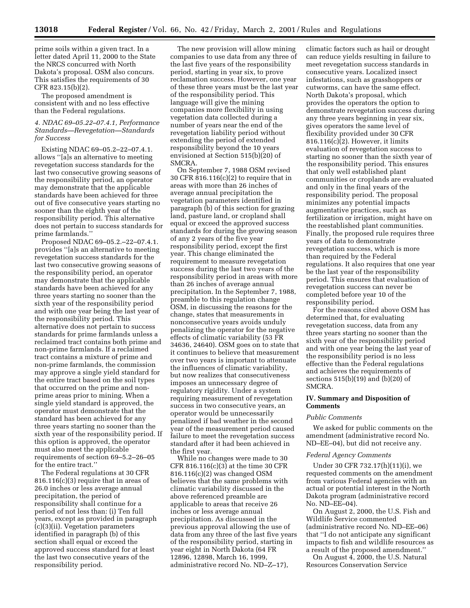prime soils within a given tract. In a letter dated April 11, 2000 to the State the NRCS concurred with North Dakota's proposal. OSM also concurs. This satisfies the requirements of 30 CFR 823.15(b)(2).

The proposed amendment is consistent with and no less effective than the Federal regulations.

# *4. NDAC 69–05.22–07.4.1, Performance Standards—Revegetation—Standards for Success*

Existing NDAC 69–05.2–22–07.4.1. allows ''[a]s an alternative to meeting revegetation success standards for the last two consecutive growing seasons of the responsibility period, an operator may demonstrate that the applicable standards have been achieved for three out of five consecutive years starting no sooner than the eighth year of the responsibility period. This alternative does not pertain to success standards for prime farmlands.''

Proposed NDAC 69–05.2.–22–07.4.1. provides ''[a]s an alternative to meeting revegetation success standards for the last two consecutive growing seasons of the responsibility period, an operator may demonstrate that the applicable standards have been achieved for any three years starting no sooner than the sixth year of the responsibility period and with one year being the last year of the responsibility period. This alternative does not pertain to success standards for prime farmlands unless a reclaimed tract contains both prime and non-prime farmlands. If a reclaimed tract contains a mixture of prime and non-prime farmlands, the commission may approve a single yield standard for the entire tract based on the soil types that occurred on the prime and nonprime areas prior to mining. When a single yield standard is approved, the operator must demonstrate that the standard has been achieved for any three years starting no sooner than the sixth year of the responsibility period. If this option is approved, the operator must also meet the applicable requirements of section 69–5.2–26–05 for the entire tract.''

The Federal regulations at 30 CFR 816.116(c)(3) require that in areas of 26.0 inches or less average annual precipitation, the period of responsibility shall continue for a period of not less than: (i) Ten full years, except as provided in paragraph (c)(3)(ii). Vegetation parameters identified in paragraph (b) of this section shall equal or exceed the approved success standard for at least the last two consecutive years of the responsibility period.

The new provision will allow mining companies to use data from any three of the last five years of the responsibility period, starting in year six, to prove reclamation success. However, one year of these three years must be the last year of the responsibility period. This language will give the mining companies more flexibility in using vegetation data collected during a number of years near the end of the revegetation liability period without extending the period of extended responsibility beyond the 10 years envisioned at Section 515(b)(20) of SMCRA.

On September 7, 1988 OSM revised 30 CFR 816.116(c)(2) to require that in areas with more than 26 inches of average annual precipitation the vegetation parameters identified in paragraph (b) of this section for grazing land, pasture land, or cropland shall equal or exceed the approved success standards for during the growing season of any 2 years of the five year responsibility period, except the first year. This change eliminated the requirement to measure revegetation success during the last two years of the responsibility period in areas with more than 26 inches of average annual precipitation. In the September 7, 1988, preamble to this regulation change OSM, in discussing the reasons for the change, states that measurements in nonconsecutive years avoids unduly penalizing the operator for the negative effects of climatic variability (53 FR 34636, 24640). OSM goes on to state that it continues to believe that measurement over two years is important to attenuate the influences of climatic variability, but now realizes that consecutiveness imposes an unnecessary degree of regulatory rigidity. Under a system requiring measurement of revegetation success in two consecutive years, an operator would be unnecessarily penalized if bad weather in the second year of the measurement period caused failure to meet the revegetation success standard after it had been achieved in the first year.

While no changes were made to 30 CFR 816.116(c)(3) at the time 30 CFR 816.116(c)(2) was changed OSM believes that the same problems with climatic variability discussed in the above referenced preamble are applicable to areas that receive 26 inches or less average annual precipitation. As discussed in the previous approval allowing the use of data from any three of the last five years of the responsibility period, starting in year eight in North Dakota (64 FR 12896, 12898, March 16, 1999, administrative record No. ND–Z–17),

climatic factors such as hail or drought can reduce yields resulting in failure to meet revegetation success standards in consecutive years. Localized insect infestations, such as grasshoppers or cutworms, can have the same effect. North Dakota's proposal, which provides the operators the option to demonstrate revegetation success during any three years beginning in year six, gives operators the same level of flexibility provided under 30 CFR 816.116(c)(2). However, it limits evaluation of revegetation success to starting no sooner than the sixth year of the responsibility period. This ensures that only well established plant communities or croplands are evaluated and only in the final years of the responsibility period. The proposal minimizes any potential impacts augmentative practices, such as fertilization or irrigation, might have on the reestablished plant communities. Finally, the proposed rule requires three years of data to demonstrate revegetation success, which is more than required by the Federal regulations. It also requires that one year be the last year of the responsibility period. This ensures that evaluation of revegetation success can never be completed before year 10 of the responsibility period.

For the reasons cited above OSM has determined that, for evaluating revegetation success, data from any three years starting no sooner than the sixth year of the responsibility period and with one year being the last year of the responsibility period is no less effective than the Federal regulations and achieves the requirements of sections 515(b)(19) and (b)(20) of SMCRA.

# **IV. Summary and Disposition of Comments**

# *Public Comments*

We asked for public comments on the amendment (administrative record No. ND–EE–04), but did not receive any.

### *Federal Agency Comments*

Under 30 CFR 732.17(h)(11)(i), we requested comments on the amendment from various Federal agencies with an actual or potential interest in the North Dakota program (administrative record No. ND–EE–04).

On August 2, 2000, the U.S. Fish and Wildlife Service commented (administrative record No. ND–EE–06) that ''I do not anticipate any significant impacts to fish and wildlife resources as a result of the proposed amendment.''

On August 4, 2000, the U.S. Natural Resources Conservation Service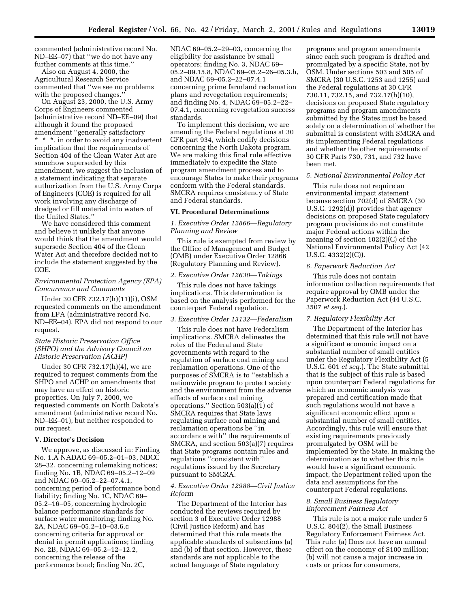commented (administrative record No. ND–EE–07) that ''we do not have any further comments at this time.''

Also on August 4, 2000, the Agricultural Research Service commented that ''we see no problems with the proposed changes.''

On August 23, 2000, the U.S. Army Corps of Engineers commented (administrative record ND–EE–09) that although it found the proposed amendment ''generally satisfactory \* \* \*, in order to avoid any inadvertent implication that the requirements of Section 404 of the Clean Water Act are somehow superseded by this amendment, we suggest the inclusion of a statement indicating that separate authorization from the U.S. Army Corps of Engineers (COE) is required for all work involving any discharge of dredged or fill material into waters of the United States.''

We have considered this comment and believe it unlikely that anyone would think that the amendment would supersede Section 404 of the Clean Water Act and therefore decided not to include the statement suggested by the COE.

## *Environmental Protection Agency (EPA) Concurrence and Comments*

Under 30 CFR 732.17(h)(11)(i), OSM requested comments on the amendment from EPA (administrative record No. ND–EE–04). EPA did not respond to our request.

# *State Historic Preservation Office (SHPO) and the Advisory Council on Historic Preservation (ACHP)*

Under 30 CFR 732.17(h)(4), we are required to request comments from the SHPO and ACHP on amendments that may have an effect on historic properties. On July 7, 2000, we requested comments on North Dakota's amendment (administrative record No. ND–EE–01), but neither responded to our request.

#### **V. Director's Decision**

We approve, as discussed in: Finding No. 1.A NADAC 69–05.2–01–03, NDCC 28–32, concerning rulemaking notices; finding No. 1B, NDAC 69–05.2–12–09 and NDAC 69–05.2–22–07.4.1, concerning period of performance bond liability; finding No. 1C, NDAC 69– 05.2–16–05, concerning hydrologic balance performance standards for surface water monitoring; finding No. 2A, NDAC 69–05.2–10–03.6.c concerning criteria for approval or denial in permit applications; finding No. 2B, NDAC 69–05.2–12–12.2, concerning the release of the performance bond; finding No. 2C,

NDAC 69–05.2–29–03, concerning the eligibility for assistance by small operators; finding No. 3, NDAC 69– 05.2–09.15.8, NDAC 69–05.2–26–05.3.h, and NDAC 69–05.2–22–07.4.1 concerning prime farmland reclamation plans and revegetation requirements; and finding No. 4, NDAC 69–05.2–22– 07.4.1, concerning revegetation success standards.

To implement this decision, we are amending the Federal regulations at 30 CFR part 934, which codify decisions concerning the North Dakota program. We are making this final rule effective immediately to expedite the State program amendment process and to encourage States to make their programs conform with the Federal standards. SMCRA requires consistency of State and Federal standards.

#### **VI. Procedural Determinations**

# *1. Executive Order 12866—Regulatory Planning and Review*

This rule is exempted from review by the Office of Management and Budget (OMB) under Executive Order 12866 (Regulatory Planning and Review).

# *2. Executive Order 12630—Takings*

This rule does not have takings implications. This determination is based on the analysis performed for the counterpart Federal regulation.

### *3. Executive Order 13132—Federalism*

This rule does not have Federalism implications. SMCRA delineates the roles of the Federal and State governments with regard to the regulation of surface coal mining and reclamation operations. One of the purposes of SMCRA is to ''establish a nationwide program to protect society and the environment from the adverse effects of surface coal mining operations.'' Section 503(a)(1) of SMCRA requires that State laws regulating surface coal mining and reclamation operations be ''in accordance with'' the requirements of SMCRA, and section 503(a)(7) requires that State programs contain rules and regulations ''consistent with'' regulations issued by the Secretary pursuant to SMCRA.

## *4. Executive Order 12988—Civil Justice Reform*

The Department of the Interior has conducted the reviews required by section 3 of Executive Order 12988 (Civil Justice Reform) and has determined that this rule meets the applicable standards of subsections (a) and (b) of that section. However, these standards are not applicable to the actual language of State regulatory

programs and program amendments since each such program is drafted and promulgated by a specific State, not by OSM. Under sections 503 and 505 of SMCRA (30 U.S.C. 1253 and 1255) and the Federal regulations at 30 CFR 730.11, 732.15, and 732.17(h)(10), decisions on proposed State regulatory programs and program amendments submitted by the States must be based solely on a determination of whether the submittal is consistent with SMCRA and its implementing Federal regulations and whether the other requirements of 30 CFR Parts 730, 731, and 732 have been met.

# *5. National Environmental Policy Act*

This rule does not require an environmental impact statement because section 702(d) of SMCRA (30 U.S.C. 1292(d)) provides that agency decisions on proposed State regulatory program provisions do not constitute major Federal actions within the meaning of section 102(2)(C) of the National Environmental Policy Act (42 U.S.C. 4332(2)(C)).

# *6. Paperwork Reduction Act*

This rule does not contain information collection requirements that require approval by OMB under the Paperwork Reduction Act (44 U.S.C. 3507 *et seq.*).

### *7. Regulatory Flexibility Act*

The Department of the Interior has determined that this rule will not have a significant economic impact on a substantial number of small entities under the Regulatory Flexibility Act (5 U.S.C. 601 *et seq.*). The State submittal that is the subject of this rule is based upon counterpart Federal regulations for which an economic analysis was prepared and certification made that such regulations would not have a significant economic effect upon a substantial number of small entities. Accordingly, this rule will ensure that existing requirements previously promulgated by OSM will be implemented by the State. In making the determination as to whether this rule would have a significant economic impact, the Department relied upon the data and assumptions for the counterpart Federal regulations.

# *8. Small Business Regulatory Enforcement Fairness Act*

This rule is not a major rule under 5 U.S.C. 804(2), the Small Business Regulatory Enforcement Fairness Act. This rule: (a) Does not have an annual effect on the economy of \$100 million; (b) will not cause a major increase in costs or prices for consumers,